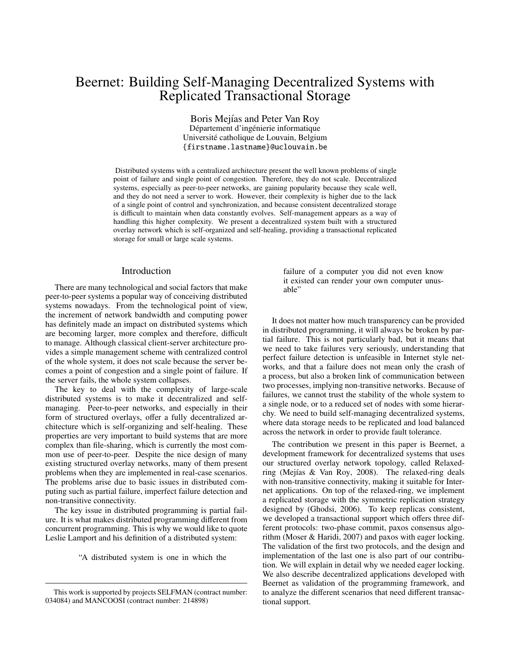# Beernet: Building Self-Managing Decentralized Systems with Replicated Transactional Storage

Boris Mejías and Peter Van Roy Département d'ingénierie informatique Université catholique de Louvain, Belgium {firstname.lastname}@uclouvain.be

Distributed systems with a centralized architecture present the well known problems of single point of failure and single point of congestion. Therefore, they do not scale. Decentralized systems, especially as peer-to-peer networks, are gaining popularity because they scale well, and they do not need a server to work. However, their complexity is higher due to the lack of a single point of control and synchronization, and because consistent decentralized storage is difficult to maintain when data constantly evolves. Self-management appears as a way of handling this higher complexity. We present a decentralized system built with a structured overlay network which is self-organized and self-healing, providing a transactional replicated storage for small or large scale systems.

#### Introduction

There are many technological and social factors that make peer-to-peer systems a popular way of conceiving distributed systems nowadays. From the technological point of view, the increment of network bandwidth and computing power has definitely made an impact on distributed systems which are becoming larger, more complex and therefore, difficult to manage. Although classical client-server architecture provides a simple management scheme with centralized control of the whole system, it does not scale because the server becomes a point of congestion and a single point of failure. If the server fails, the whole system collapses.

The key to deal with the complexity of large-scale distributed systems is to make it decentralized and selfmanaging. Peer-to-peer networks, and especially in their form of structured overlays, offer a fully decentralized architecture which is self-organizing and self-healing. These properties are very important to build systems that are more complex than file-sharing, which is currently the most common use of peer-to-peer. Despite the nice design of many existing structured overlay networks, many of them present problems when they are implemented in real-case scenarios. The problems arise due to basic issues in distributed computing such as partial failure, imperfect failure detection and non-transitive connectivity.

The key issue in distributed programming is partial failure. It is what makes distributed programming different from concurrent programming. This is why we would like to quote Leslie Lamport and his definition of a distributed system:

"A distributed system is one in which the

failure of a computer you did not even know it existed can render your own computer unusable"

It does not matter how much transparency can be provided in distributed programming, it will always be broken by partial failure. This is not particularly bad, but it means that we need to take failures very seriously, understanding that perfect failure detection is unfeasible in Internet style networks, and that a failure does not mean only the crash of a process, but also a broken link of communication between two processes, implying non-transitive networks. Because of failures, we cannot trust the stability of the whole system to a single node, or to a reduced set of nodes with some hierarchy. We need to build self-managing decentralized systems, where data storage needs to be replicated and load balanced across the network in order to provide fault tolerance.

The contribution we present in this paper is Beernet, a development framework for decentralized systems that uses our structured overlay network topology, called Relaxedring (Mejías  $& Van Roy, 2008$ ). The relaxed-ring deals with non-transitive connectivity, making it suitable for Internet applications. On top of the relaxed-ring, we implement a replicated storage with the symmetric replication strategy designed by (Ghodsi, 2006). To keep replicas consistent, we developed a transactional support which offers three different protocols: two-phase commit, paxos consensus algorithm (Moser & Haridi, 2007) and paxos with eager locking. The validation of the first two protocols, and the design and implementation of the last one is also part of our contribution. We will explain in detail why we needed eager locking. We also describe decentralized applications developed with Beernet as validation of the programming framework, and to analyze the different scenarios that need different transactional support.

This work is supported by projects SELFMAN (contract number: 034084) and MANCOOSI (contract number: 214898)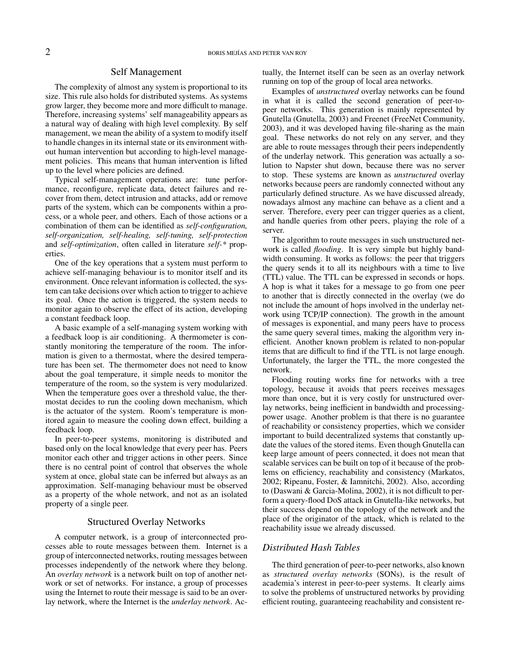#### Self Management

The complexity of almost any system is proportional to its size. This rule also holds for distributed systems. As systems grow larger, they become more and more difficult to manage. Therefore, increasing systems' self manageability appears as a natural way of dealing with high level complexity. By self management, we mean the ability of a system to modify itself to handle changes in its internal state or its environment without human intervention but according to high-level management policies. This means that human intervention is lifted up to the level where policies are defined.

Typical self-management operations are: tune performance, reconfigure, replicate data, detect failures and recover from them, detect intrusion and attacks, add or remove parts of the system, which can be components within a process, or a whole peer, and others. Each of those actions or a combination of them can be identified as *self-configuration, self-organization, self-healing, self-tuning, self-protection* and *self-optimization*, often called in literature *self-\** properties.

One of the key operations that a system must perform to achieve self-managing behaviour is to monitor itself and its environment. Once relevant information is collected, the system can take decisions over which action to trigger to achieve its goal. Once the action is triggered, the system needs to monitor again to observe the effect of its action, developing a constant feedback loop.

A basic example of a self-managing system working with a feedback loop is air conditioning. A thermometer is constantly monitoring the temperature of the room. The information is given to a thermostat, where the desired temperature has been set. The thermometer does not need to know about the goal temperature, it simple needs to monitor the temperature of the room, so the system is very modularized. When the temperature goes over a threshold value, the thermostat decides to run the cooling down mechanism, which is the actuator of the system. Room's temperature is monitored again to measure the cooling down effect, building a feedback loop.

In peer-to-peer systems, monitoring is distributed and based only on the local knowledge that every peer has. Peers monitor each other and trigger actions in other peers. Since there is no central point of control that observes the whole system at once, global state can be inferred but always as an approximation. Self-managing behaviour must be observed as a property of the whole network, and not as an isolated property of a single peer.

## Structured Overlay Networks

A computer network, is a group of interconnected processes able to route messages between them. Internet is a group of interconnected networks, routing messages between processes independently of the network where they belong. An *overlay network* is a network built on top of another network or set of networks. For instance, a group of processes using the Internet to route their message is said to be an overlay network, where the Internet is the *underlay network*. Actually, the Internet itself can be seen as an overlay network running on top of the group of local area networks.

Examples of *unstructured* overlay networks can be found in what it is called the second generation of peer-topeer networks. This generation is mainly represented by Gnutella (Gnutella, 2003) and Freenet (FreeNet Community, 2003), and it was developed having file-sharing as the main goal. These networks do not rely on any server, and they are able to route messages through their peers independently of the underlay network. This generation was actually a solution to Napster shut down, because there was no server to stop. These systems are known as *unstructured* overlay networks because peers are randomly connected without any particularly defined structure. As we have discussed already, nowadays almost any machine can behave as a client and a server. Therefore, every peer can trigger queries as a client, and handle queries from other peers, playing the role of a server.

The algorithm to route messages in such unstructured network is called *flooding*. It is very simple but highly bandwidth consuming. It works as follows: the peer that triggers the query sends it to all its neighbours with a time to live (TTL) value. The TTL can be expressed in seconds or hops. A hop is what it takes for a message to go from one peer to another that is directly connected in the overlay (we do not include the amount of hops involved in the underlay network using TCP/IP connection). The growth in the amount of messages is exponential, and many peers have to process the same query several times, making the algorithm very inefficient. Another known problem is related to non-popular items that are difficult to find if the TTL is not large enough. Unfortunately, the larger the TTL, the more congested the network.

Flooding routing works fine for networks with a tree topology, because it avoids that peers receives messages more than once, but it is very costly for unstructured overlay networks, being inefficient in bandwidth and processingpower usage. Another problem is that there is no guarantee of reachability or consistency properties, which we consider important to build decentralized systems that constantly update the values of the stored items. Even though Gnutella can keep large amount of peers connected, it does not mean that scalable services can be built on top of it because of the problems on efficiency, reachability and consistency (Markatos, 2002; Ripeanu, Foster, & Iamnitchi, 2002). Also, according to (Daswani & Garcia-Molina, 2002), it is not difficult to perform a query-flood DoS attack in Gnutella-like networks, but their success depend on the topology of the network and the place of the originator of the attack, which is related to the reachability issue we already discussed.

#### *Distributed Hash Tables*

The third generation of peer-to-peer networks, also known as *structured overlay networks* (SONs), is the result of academia's interest in peer-to-peer systems. It clearly aims to solve the problems of unstructured networks by providing efficient routing, guaranteeing reachability and consistent re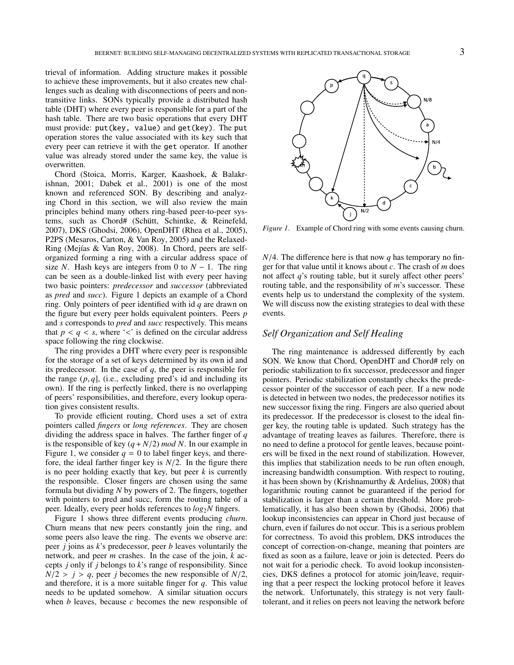trieval of information. Adding structure makes it possible to achieve these improvements, but it also creates new challenges such as dealing with disconnections of peers and nontransitive links. SONs typically provide a distributed hash table (DHT) where every peer is responsible for a part of the hash table. There are two basic operations that every DHT must provide: put(key, value) and get(key). The put operation stores the value associated with its key such that every peer can retrieve it with the get operator. If another value was already stored under the same key, the value is overwritten.

Chord (Stoica, Morris, Karger, Kaashoek, & Balakrishnan, 2001; Dabek et al., 2001) is one of the most known and referenced SON. By describing and analyzing Chord in this section, we will also review the main principles behind many others ring-based peer-to-peer systems, such as Chord# (Schütt, Schintke, & Reinefeld, 2007), DKS (Ghodsi, 2006), OpenDHT (Rhea et al., 2005), P2PS (Mesaros, Carton, & Van Roy, 2005) and the Relaxed-Ring (Mejías & Van Roy, 2008). In Chord, peers are selforganized forming a ring with a circular address space of size *N*. Hash keys are integers from 0 to  $N - 1$ . The ring can be seen as a double-linked list with every peer having two basic pointers: *predecessor* and *successor* (abbreviated as *pred* and *succ*). Figure 1 depicts an example of a Chord ring. Only pointers of peer identified with id *q* are drawn on the figure but every peer holds equivalent pointers. Peers *p* and *s* corresponds to *pred* and *succ* respectively. This means that  $p < q < s$ , where ' $\lt'$ ' is defined on the circular address space following the ring clockwise.

The ring provides a DHT where every peer is responsible for the storage of a set of keys determined by its own id and its predecessor. In the case of *q*, the peer is responsible for the range  $(p, q]$ , (i.e., excluding pred's id and including its own). If the ring is perfectly linked, there is no overlapping of peers' responsibilities, and therefore, every lookup operation gives consistent results.

To provide efficient routing, Chord uses a set of extra pointers called *fingers* or *long references*. They are chosen dividing the address space in halves. The farther finger of *q* is the responsible of key  $(q + N/2)$  *mod N*. In our example in Figure 1, we consider  $q = 0$  to label finger keys, and therefore, the ideal farther finger key is  $N/2$ . In the figure there is no peer holding exactly that key, but peer *k* is currently the responsible. Closer fingers are chosen using the same formula but dividing *N* by powers of 2. The fingers, together with pointers to pred and succ, form the routing table of a peer. Ideally, every peer holds references to *log*2*N* fingers.

Figure 1 shows three different events producing *churn*. Churn means that new peers constantly join the ring, and some peers also leave the ring. The events we observe are: peer *j* joins as *k*'s predecessor, peer *b* leaves voluntarily the network, and peer *m* crashes. In the case of the join, *k* accepts *j* only if *j* belongs to *k*'s range of responsibility. Since  $N/2 > j > q$ , peer *j* becomes the new responsible of  $N/2$ , and therefore, it is a more suitable finger for *q*. This value needs to be updated somehow. A similar situation occurs when *b* leaves, because *c* becomes the new responsible of



*Figure 1*. Example of Chord ring with some events causing churn.

 $N/4$ . The difference here is that now *q* has temporary no finger for that value until it knows about *c*. The crash of *m* does not affect *q*'s routing table, but it surely affect other peers' routing table, and the responsibility of *m*'s successor. These events help us to understand the complexity of the system. We will discuss now the existing strategies to deal with these events.

## *Self Organization and Self Healing*

The ring maintenance is addressed differently by each SON. We know that Chord, OpenDHT and Chord# rely on periodic stabilization to fix successor, predecessor and finger pointers. Periodic stabilization constantly checks the predecessor pointer of the successor of each peer. If a new node is detected in between two nodes, the predecessor notifies its new successor fixing the ring. Fingers are also queried about its predecessor. If the predecessor is closest to the ideal finger key, the routing table is updated. Such strategy has the advantage of treating leaves as failures. Therefore, there is no need to define a protocol for gentle leaves, because pointers will be fixed in the next round of stabilization. However, this implies that stabilization needs to be run often enough, increasing bandwidth consumption. With respect to routing, it has been shown by (Krishnamurthy & Ardelius, 2008) that logarithmic routing cannot be guaranteed if the period for stabilization is larger than a certain threshold. More problematically, it has also been shown by (Ghodsi, 2006) that lookup inconsistencies can appear in Chord just because of churn, even if failures do not occur. This is a serious problem for correctness. To avoid this problem, DKS introduces the concept of correction-on-change, meaning that pointers are fixed as soon as a failure, leave or join is detected. Peers do not wait for a periodic check. To avoid lookup inconsistencies, DKS defines a protocol for atomic join/leave, requiring that a peer respect the locking protocol before it leaves the network. Unfortunately, this strategy is not very faulttolerant, and it relies on peers not leaving the network before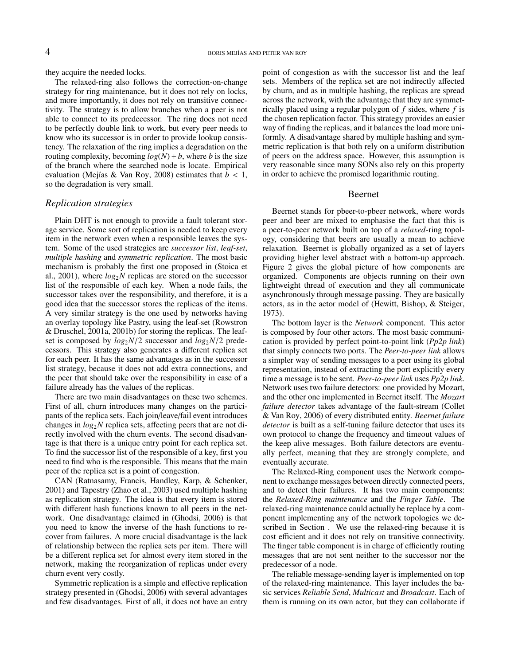they acquire the needed locks.

The relaxed-ring also follows the correction-on-change strategy for ring maintenance, but it does not rely on locks, and more importantly, it does not rely on transitive connectivity. The strategy is to allow branches when a peer is not able to connect to its predecessor. The ring does not need to be perfectly double link to work, but every peer needs to know who its successor is in order to provide lookup consistency. The relaxation of the ring implies a degradation on the routing complexity, becoming  $log(N) + b$ , where *b* is the size of the branch where the searched node is locate. Empirical evaluation (Mejías & Van Roy, 2008) estimates that  $b < 1$ , so the degradation is very small.

#### *Replication strategies*

Plain DHT is not enough to provide a fault tolerant storage service. Some sort of replication is needed to keep every item in the network even when a responsible leaves the system. Some of the used strategies are *successor list*, *leaf-set*, *multiple hashing* and *symmetric replication*. The most basic mechanism is probably the first one proposed in (Stoica et al., 2001), where *log*2*N* replicas are stored on the successor list of the responsible of each key. When a node fails, the successor takes over the responsibility, and therefore, it is a good idea that the successor stores the replicas of the items. A very similar strategy is the one used by networks having an overlay topology like Pastry, using the leaf-set (Rowstron & Druschel, 2001a, 2001b) for storing the replicas. The leafset is composed by  $log_2N/2$  successor and  $log_2N/2$  predecessors. This strategy also generates a different replica set for each peer. It has the same advantages as in the successor list strategy, because it does not add extra connections, and the peer that should take over the responsibility in case of a failure already has the values of the replicas.

There are two main disadvantages on these two schemes. First of all, churn introduces many changes on the participants of the replica sets. Each join/leave/fail event introduces changes in *log*2*N* replica sets, affecting peers that are not directly involved with the churn events. The second disadvantage is that there is a unique entry point for each replica set. To find the successor list of the responsible of a key, first you need to find who is the responsible. This means that the main peer of the replica set is a point of congestion.

CAN (Ratnasamy, Francis, Handley, Karp, & Schenker, 2001) and Tapestry (Zhao et al., 2003) used multiple hashing as replication strategy. The idea is that every item is stored with different hash functions known to all peers in the network. One disadvantage claimed in (Ghodsi, 2006) is that you need to know the inverse of the hash functions to recover from failures. A more crucial disadvantage is the lack of relationship between the replica sets per item. There will be a different replica set for almost every item stored in the network, making the reorganization of replicas under every churn event very costly.

Symmetric replication is a simple and effective replication strategy presented in (Ghodsi, 2006) with several advantages and few disadvantages. First of all, it does not have an entry

point of congestion as with the successor list and the leaf sets. Members of the replica set are not indirectly affected by churn, and as in multiple hashing, the replicas are spread across the network, with the advantage that they are symmetrically placed using a regular polygon of *f* sides, where *f* is the chosen replication factor. This strategy provides an easier way of finding the replicas, and it balances the load more uniformly. A disadvantage shared by multiple hashing and symmetric replication is that both rely on a uniform distribution of peers on the address space. However, this assumption is very reasonable since many SONs also rely on this property in order to achieve the promised logarithmic routing.

#### Beernet

Beernet stands for pbeer-to-pbeer network, where words peer and beer are mixed to emphasise the fact that this is a peer-to-peer network built on top of a *relaxed*-ring topology, considering that beers are usually a mean to achieve relaxation. Beernet is globally organized as a set of layers providing higher level abstract with a bottom-up approach. Figure 2 gives the global picture of how components are organized. Components are objects running on their own lightweight thread of execution and they all communicate asynchronously through message passing. They are basically actors, as in the actor model of (Hewitt, Bishop, & Steiger, 1973).

The bottom layer is the *Network* component. This actor is composed by four other actors. The most basic communication is provided by perfect point-to-point link (*Pp2p link*) that simply connects two ports. The *Peer-to-peer link* allows a simpler way of sending messages to a peer using its global representation, instead of extracting the port explicitly every time a message is to be sent. *Peer-to-peer link* uses *Pp2p link*. Network uses two failure detectors: one provided by Mozart, and the other one implemented in Beernet itself. The *Mozart failure detector* takes advantage of the fault-stream (Collet & Van Roy, 2006) of every distributed entity. *Beernet failure detector* is built as a self-tuning failure detector that uses its own protocol to change the frequency and timeout values of the keep alive messages. Both failure detectors are eventually perfect, meaning that they are strongly complete, and eventually accurate.

The Relaxed-Ring component uses the Network component to exchange messages between directly connected peers, and to detect their failures. It has two main components: the *Relaxed-Ring maintenance* and the *Finger Table*. The relaxed-ring maintenance could actually be replace by a component implementing any of the network topologies we described in Section . We use the relaxed-ring because it is cost efficient and it does not rely on transitive connectivity. The finger table component is in charge of efficiently routing messages that are not sent neither to the successor nor the predecessor of a node.

The reliable message-sending layer is implemented on top of the relaxed-ring maintenance. This layer includes the basic services *Reliable Send*, *Multicast* and *Broadcast*. Each of them is running on its own actor, but they can collaborate if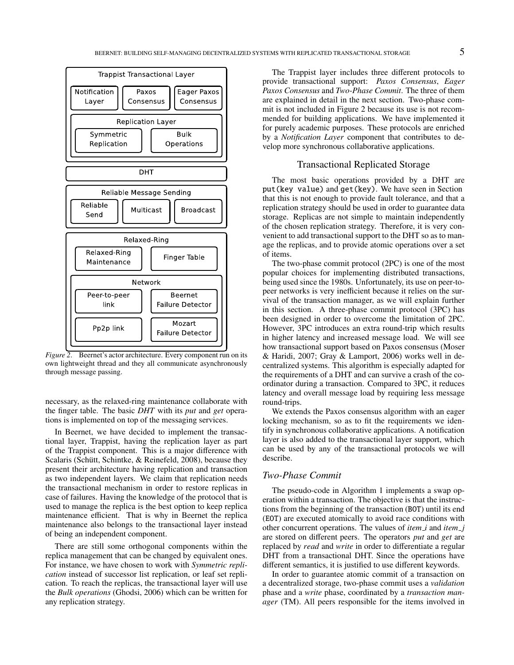

*Figure 2.* Beernet's actor architecture. Every component run on its own lightweight thread and they all communicate asynchronously through message passing.

necessary, as the relaxed-ring maintenance collaborate with the finger table. The basic *DHT* with its *put* and *get* operations is implemented on top of the messaging services.

In Beernet, we have decided to implement the transactional layer, Trappist, having the replication layer as part of the Trappist component. This is a major difference with Scalaris (Schütt, Schintke, & Reinefeld, 2008), because they present their architecture having replication and transaction as two independent layers. We claim that replication needs the transactional mechanism in order to restore replicas in case of failures. Having the knowledge of the protocol that is used to manage the replica is the best option to keep replica maintenance efficient. That is why in Beernet the replica maintenance also belongs to the transactional layer instead of being an independent component.

There are still some orthogonal components within the replica management that can be changed by equivalent ones. For instance, we have chosen to work with *Symmetric replication* instead of successor list replication, or leaf set replication. To reach the replicas, the transactional layer will use the *Bulk operations* (Ghodsi, 2006) which can be written for any replication strategy.

The Trappist layer includes three different protocols to provide transactional support: *Paxos Consensus*, *Eager Paxos Consensus* and *Two-Phase Commit*. The three of them are explained in detail in the next section. Two-phase commit is not included in Figure 2 because its use is not recommended for building applications. We have implemented it for purely academic purposes. These protocols are enriched by a *Notification Layer* component that contributes to develop more synchronous collaborative applications.

#### Transactional Replicated Storage

The most basic operations provided by a DHT are put(key value) and get(key). We have seen in Section that this is not enough to provide fault tolerance, and that a replication strategy should be used in order to guarantee data storage. Replicas are not simple to maintain independently of the chosen replication strategy. Therefore, it is very convenient to add transactional support to the DHT so as to manage the replicas, and to provide atomic operations over a set of items.

The two-phase commit protocol (2PC) is one of the most popular choices for implementing distributed transactions, being used since the 1980s. Unfortunately, its use on peer-topeer networks is very inefficient because it relies on the survival of the transaction manager, as we will explain further in this section. A three-phase commit protocol (3PC) has been designed in order to overcome the limitation of 2PC. However, 3PC introduces an extra round-trip which results in higher latency and increased message load. We will see how transactional support based on Paxos consensus (Moser & Haridi, 2007; Gray & Lamport, 2006) works well in decentralized systems. This algorithm is especially adapted for the requirements of a DHT and can survive a crash of the coordinator during a transaction. Compared to 3PC, it reduces latency and overall message load by requiring less message round-trips.

We extends the Paxos consensus algorithm with an eager locking mechanism, so as to fit the requirements we identify in synchronous collaborative applications. A notification layer is also added to the transactional layer support, which can be used by any of the transactional protocols we will describe.

## *Two-Phase Commit*

The pseudo-code in Algorithm 1 implements a swap operation within a transaction. The objective is that the instructions from the beginning of the transaction (BOT) until its end (EOT) are executed atomically to avoid race conditions with other concurrent operations. The values of *item\_i* and *item\_i* are stored on different peers. The operators *put* and *get* are replaced by *read* and *write* in order to differentiate a regular DHT from a transactional DHT. Since the operations have different semantics, it is justified to use different keywords.

In order to guarantee atomic commit of a transaction on a decentralized storage, two-phase commit uses a *validation* phase and a *write* phase, coordinated by a *transaction manager* (TM). All peers responsible for the items involved in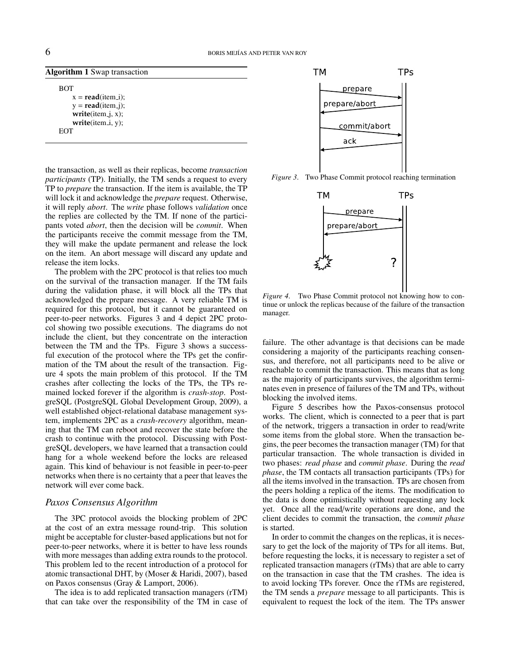|  |  |  | <b>Algorithm 1 Swap transaction</b> |  |
|--|--|--|-------------------------------------|--|
|--|--|--|-------------------------------------|--|

| <b>BOT</b>          |  |
|---------------------|--|
| $x = read(item_i);$ |  |
| $y = read(item_i);$ |  |
| $write(item_i, x);$ |  |
| $write(item_i, v);$ |  |
| EOT                 |  |

the transaction, as well as their replicas, become *transaction participants* (TP). Initially, the TM sends a request to every TP to *prepare* the transaction. If the item is available, the TP will lock it and acknowledge the *prepare* request. Otherwise, it will reply *abort*. The *write* phase follows *validation* once the replies are collected by the TM. If none of the participants voted *abort*, then the decision will be *commit*. When the participants receive the commit message from the TM, they will make the update permanent and release the lock on the item. An abort message will discard any update and release the item locks.

The problem with the 2PC protocol is that relies too much on the survival of the transaction manager. If the TM fails during the validation phase, it will block all the TPs that acknowledged the prepare message. A very reliable TM is required for this protocol, but it cannot be guaranteed on peer-to-peer networks. Figures 3 and 4 depict 2PC protocol showing two possible executions. The diagrams do not include the client, but they concentrate on the interaction between the TM and the TPs. Figure 3 shows a successful execution of the protocol where the TPs get the confirmation of the TM about the result of the transaction. Figure 4 spots the main problem of this protocol. If the TM crashes after collecting the locks of the TPs, the TPs remained locked forever if the algorithm is *crash-stop*. PostgreSQL (PostgreSQL Global Development Group, 2009), a well established object-relational database management system, implements 2PC as a *crash-recovery* algorithm, meaning that the TM can reboot and recover the state before the crash to continue with the protocol. Discussing with PostgreSQL developers, we have learned that a transaction could hang for a whole weekend before the locks are released again. This kind of behaviour is not feasible in peer-to-peer networks when there is no certainty that a peer that leaves the network will ever come back.

## *Paxos Consensus Algorithm*

The 3PC protocol avoids the blocking problem of 2PC at the cost of an extra message round-trip. This solution might be acceptable for cluster-based applications but not for peer-to-peer networks, where it is better to have less rounds with more messages than adding extra rounds to the protocol. This problem led to the recent introduction of a protocol for atomic transactional DHT, by (Moser & Haridi, 2007), based on Paxos consensus (Gray & Lamport, 2006).

The idea is to add replicated transaction managers (rTM) that can take over the responsibility of the TM in case of



*Figure 3*. Two Phase Commit protocol reaching termination



*Figure 4*. Two Phase Commit protocol not knowing how to continue or unlock the replicas because of the failure of the transaction manager.

failure. The other advantage is that decisions can be made considering a majority of the participants reaching consensus, and therefore, not all participants need to be alive or reachable to commit the transaction. This means that as long as the majority of participants survives, the algorithm terminates even in presence of failures of the TM and TPs, without blocking the involved items.

Figure 5 describes how the Paxos-consensus protocol works. The client, which is connected to a peer that is part of the network, triggers a transaction in order to read/write some items from the global store. When the transaction begins, the peer becomes the transaction manager (TM) for that particular transaction. The whole transaction is divided in two phases: *read phase* and *commit phase*. During the *read phase*, the TM contacts all transaction participants (TPs) for all the items involved in the transaction. TPs are chosen from the peers holding a replica of the items. The modification to the data is done optimistically without requesting any lock yet. Once all the read/write operations are done, and the client decides to commit the transaction, the *commit phase* is started.

In order to commit the changes on the replicas, it is necessary to get the lock of the majority of TPs for all items. But, before requesting the locks, it is necessary to register a set of replicated transaction managers (rTMs) that are able to carry on the transaction in case that the TM crashes. The idea is to avoid locking TPs forever. Once the rTMs are registered, the TM sends a *prepare* message to all participants. This is equivalent to request the lock of the item. The TPs answer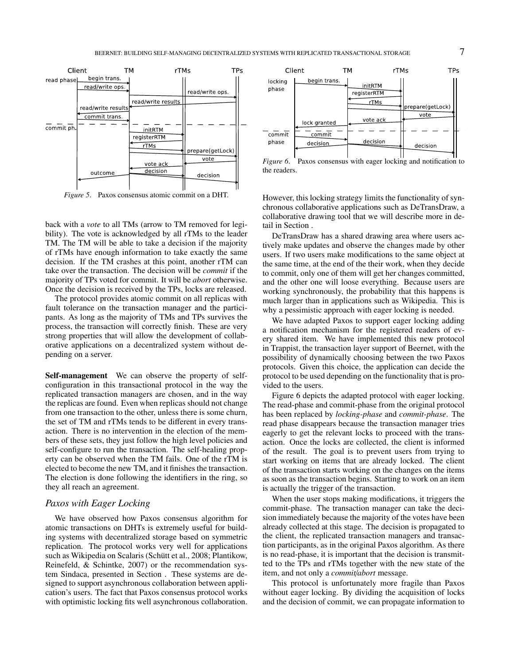

*Figure 5*. Paxos consensus atomic commit on a DHT.

back with a *vote* to all TMs (arrow to TM removed for legibility). The vote is acknowledged by all rTMs to the leader TM. The TM will be able to take a decision if the majority of rTMs have enough information to take exactly the same decision. If the TM crashes at this point, another rTM can take over the transaction. The decision will be *commit* if the majority of TPs voted for commit. It will be *abort* otherwise. Once the decision is received by the TPs, locks are released.

The protocol provides atomic commit on all replicas with fault tolerance on the transaction manager and the participants. As long as the majority of TMs and TPs survives the process, the transaction will correctly finish. These are very strong properties that will allow the development of collaborative applications on a decentralized system without depending on a server.

Self-management We can observe the property of selfconfiguration in this transactional protocol in the way the replicated transaction managers are chosen, and in the way the replicas are found. Even when replicas should not change from one transaction to the other, unless there is some churn, the set of TM and rTMs tends to be different in every transaction. There is no intervention in the election of the members of these sets, they just follow the high level policies and self-configure to run the transaction. The self-healing property can be observed when the TM fails. One of the rTM is elected to become the new TM, and it finishes the transaction. The election is done following the identifiers in the ring, so they all reach an agreement.

## *Paxos with Eager Locking*

We have observed how Paxos consensus algorithm for atomic transactions on DHTs is extremely useful for building systems with decentralized storage based on symmetric replication. The protocol works very well for applications such as Wikipedia on Scalaris (Schütt et al., 2008; Plantikow, Reinefeld, & Schintke, 2007) or the recommendation system Sindaca, presented in Section . These systems are designed to support asynchronous collaboration between application's users. The fact that Paxos consensus protocol works with optimistic locking fits well asynchronous collaboration.



*Figure 6*. Paxos consensus with eager locking and notification to the readers.

However, this locking strategy limits the functionality of synchronous collaborative applications such as DeTransDraw, a collaborative drawing tool that we will describe more in detail in Section .

DeTransDraw has a shared drawing area where users actively make updates and observe the changes made by other users. If two users make modifications to the same object at the same time, at the end of the their work, when they decide to commit, only one of them will get her changes committed, and the other one will loose everything. Because users are working synchronously, the probability that this happens is much larger than in applications such as Wikipedia. This is why a pessimistic approach with eager locking is needed.

We have adapted Paxos to support eager locking adding a notification mechanism for the registered readers of every shared item. We have implemented this new protocol in Trappist, the transaction layer support of Beernet, with the possibility of dynamically choosing between the two Paxos protocols. Given this choice, the application can decide the protocol to be used depending on the functionality that is provided to the users.

Figure 6 depicts the adapted protocol with eager locking. The read-phase and commit-phase from the original protocol has been replaced by *locking-phase* and *commit-phase*. The read phase disappears because the transaction manager tries eagerly to get the relevant locks to proceed with the transaction. Once the locks are collected, the client is informed of the result. The goal is to prevent users from trying to start working on items that are already locked. The client of the transaction starts working on the changes on the items as soon as the transaction begins. Starting to work on an item is actually the trigger of the transaction.

When the user stops making modifications, it triggers the commit-phase. The transaction manager can take the decision immediately because the majority of the votes have been already collected at this stage. The decision is propagated to the client, the replicated transaction managers and transaction participants, as in the original Paxos algorithm. As there is no read-phase, it is important that the decision is transmitted to the TPs and rTMs together with the new state of the item, and not only a *commit*/*abort* message.

This protocol is unfortunately more fragile than Paxos without eager locking. By dividing the acquisition of locks and the decision of commit, we can propagate information to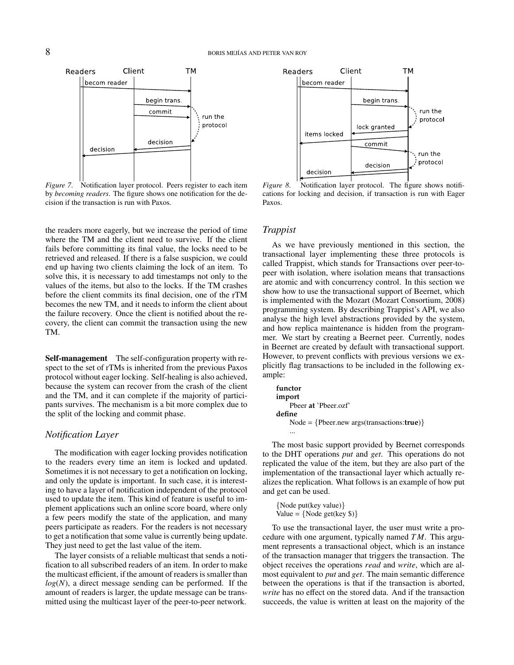

*Figure 7*. Notification layer protocol. Peers register to each item by *becoming readers*. The figure shows one notification for the decision if the transaction is run with Paxos.

the readers more eagerly, but we increase the period of time where the TM and the client need to survive. If the client fails before committing its final value, the locks need to be retrieved and released. If there is a false suspicion, we could end up having two clients claiming the lock of an item. To solve this, it is necessary to add timestamps not only to the values of the items, but also to the locks. If the TM crashes before the client commits its final decision, one of the rTM becomes the new TM, and it needs to inform the client about the failure recovery. Once the client is notified about the recovery, the client can commit the transaction using the new TM.

Self-management The self-configuration property with respect to the set of rTMs is inherited from the previous Paxos protocol without eager locking. Self-healing is also achieved, because the system can recover from the crash of the client and the TM, and it can complete if the majority of participants survives. The mechanism is a bit more complex due to the split of the locking and commit phase.

#### *Notification Layer*

The modification with eager locking provides notification to the readers every time an item is locked and updated. Sometimes it is not necessary to get a notification on locking, and only the update is important. In such case, it is interesting to have a layer of notification independent of the protocol used to update the item. This kind of feature is useful to implement applications such an online score board, where only a few peers modify the state of the application, and many peers participate as readers. For the readers is not necessary to get a notification that some value is currently being update. They just need to get the last value of the item.

The layer consists of a reliable multicast that sends a notification to all subscribed readers of an item. In order to make the multicast efficient, if the amount of readers is smaller than *log*(*N*), a direct message sending can be performed. If the amount of readers is larger, the update message can be transmitted using the multicast layer of the peer-to-peer network.



*Figure 8*. Notification layer protocol. The figure shows notifications for locking and decision, if transaction is run with Eager Paxos.

## *Trappist*

As we have previously mentioned in this section, the transactional layer implementing these three protocols is called Trappist, which stands for Transactions over peer-topeer with isolation, where isolation means that transactions are atomic and with concurrency control. In this section we show how to use the transactional support of Beernet, which is implemented with the Mozart (Mozart Consortium, 2008) programming system. By describing Trappist's API, we also analyse the high level abstractions provided by the system, and how replica maintenance is hidden from the programmer. We start by creating a Beernet peer. Currently, nodes in Beernet are created by default with transactional support. However, to prevent conflicts with previous versions we explicitly flag transactions to be included in the following example:

```
functor
import
    Pbeer at 'Pbeer.ozf'
define
    Node = {Pbeer.new args(transactions:true)}
    ...
```
The most basic support provided by Beernet corresponds to the DHT operations *put* and *get*. This operations do not replicated the value of the item, but they are also part of the implementation of the transactional layer which actually realizes the replication. What follows is an example of how put and get can be used.

```
{Node put(key value)}
Value = \{Node get(key $)\}
```
To use the transactional layer, the user must write a procedure with one argument, typically named *T M*. This argument represents a transactional object, which is an instance of the transaction manager that triggers the transaction. The object receives the operations *read* and *write*, which are almost equivalent to *put* and *get*. The main semantic difference between the operations is that if the transaction is aborted, *write* has no effect on the stored data. And if the transaction succeeds, the value is written at least on the majority of the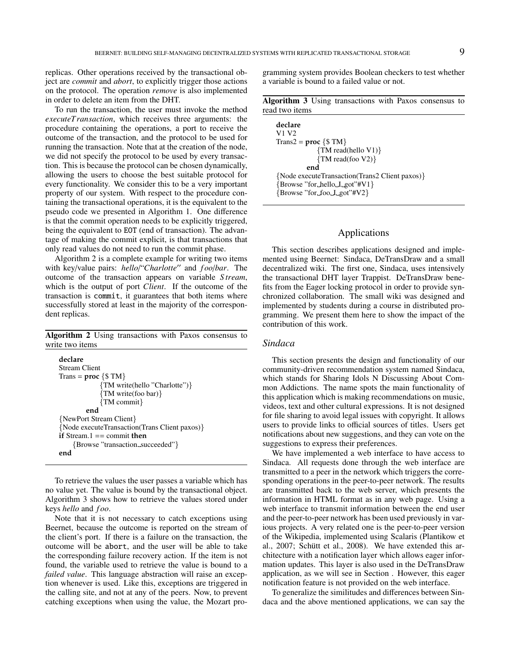replicas. Other operations received by the transactional object are *commit* and *abort*, to explicitly trigger those actions on the protocol. The operation *remove* is also implemented in order to delete an item from the DHT.

To run the transaction, the user must invoke the method *executeT ransaction*, which receives three arguments: the procedure containing the operations, a port to receive the outcome of the transaction, and the protocol to be used for running the transaction. Note that at the creation of the node, we did not specify the protocol to be used by every transaction. This is because the protocol can be chosen dynamically, allowing the users to choose the best suitable protocol for every functionality. We consider this to be a very important property of our system. With respect to the procedure containing the transactional operations, it is the equivalent to the pseudo code we presented in Algorithm 1. One difference is that the commit operation needs to be explicitly triggered, being the equivalent to EOT (end of transaction). The advantage of making the commit explicit, is that transactions that only read values do not need to run the commit phase.

Algorithm 2 is a complete example for writing two items with key/value pairs: *hello*/"*Charlotte"* and *foo/bar*. The outcome of the transaction appears on variable *S tream*, which is the output of port *Client*. If the outcome of the transaction is commit, it guarantees that both items where successfully stored at least in the majority of the correspondent replicas.

Algorithm 2 Using transactions with Paxos consensus to write two items

```
declare
Stream Client
Trans = proc \{ $ TM }{TM write(hello "Charlotte")}
             {TM write(foo bar)}
             {TM commit}
        end
{NewPort Stream Client}
{Node executeTransaction(Trans Client paxos)}
if Stream.1 == commit then
    {Browse "transaction_succeeded"}
end
```
To retrieve the values the user passes a variable which has no value yet. The value is bound by the transactional object. Algorithm 3 shows how to retrieve the values stored under keys *hello* and *f oo*.

Note that it is not necessary to catch exceptions using Beernet, because the outcome is reported on the stream of the client's port. If there is a failure on the transaction, the outcome will be abort, and the user will be able to take the corresponding failure recovery action. If the item is not found, the variable used to retrieve the value is bound to a *failed value*. This language abstraction will raise an exception whenever is used. Like this, exceptions are triggered in the calling site, and not at any of the peers. Now, to prevent catching exceptions when using the value, the Mozart programming system provides Boolean checkers to test whether a variable is bound to a failed value or not.

| <b>Algorithm 3</b> Using transactions with Paxos consensus to |  |  |  |
|---------------------------------------------------------------|--|--|--|
| read two items                                                |  |  |  |

| declare                                        |  |
|------------------------------------------------|--|
| V1 V2                                          |  |
| Trans2 = $proc$ {\$ TM}                        |  |
| $\{TM\ read(hello\ V1)\}$                      |  |
| $\{TM\,read(foo\ V2)\}$                        |  |
| end                                            |  |
| {Node executeTransaction(Trans2 Client paxos)} |  |
| {Browse "for_hello_I_got"#V1}                  |  |
| {Browse "for_foo_L_got"#V2}                    |  |

#### Applications

This section describes applications designed and implemented using Beernet: Sindaca, DeTransDraw and a small decentralized wiki. The first one, Sindaca, uses intensively the transactional DHT layer Trappist. DeTransDraw benefits from the Eager locking protocol in order to provide synchronized collaboration. The small wiki was designed and implemented by students during a course in distributed programming. We present them here to show the impact of the contribution of this work.

#### *Sindaca*

This section presents the design and functionality of our community-driven recommendation system named Sindaca, which stands for Sharing Idols N Discussing About Common Addictions. The name spots the main functionality of this application which is making recommendations on music, videos, text and other cultural expressions. It is not designed for file sharing to avoid legal issues with copyright. It allows users to provide links to official sources of titles. Users get notifications about new suggestions, and they can vote on the suggestions to express their preferences.

We have implemented a web interface to have access to Sindaca. All requests done through the web interface are transmitted to a peer in the network which triggers the corresponding operations in the peer-to-peer network. The results are transmitted back to the web server, which presents the information in HTML format as in any web page. Using a web interface to transmit information between the end user and the peer-to-peer network has been used previously in various projects. A very related one is the peer-to-peer version of the Wikipedia, implemented using Scalaris (Plantikow et al., 2007; Schütt et al., 2008). We have extended this architecture with a notification layer which allows eager information updates. This layer is also used in the DeTransDraw application, as we will see in Section . However, this eager notification feature is not provided on the web interface.

To generalize the similitudes and differences between Sindaca and the above mentioned applications, we can say the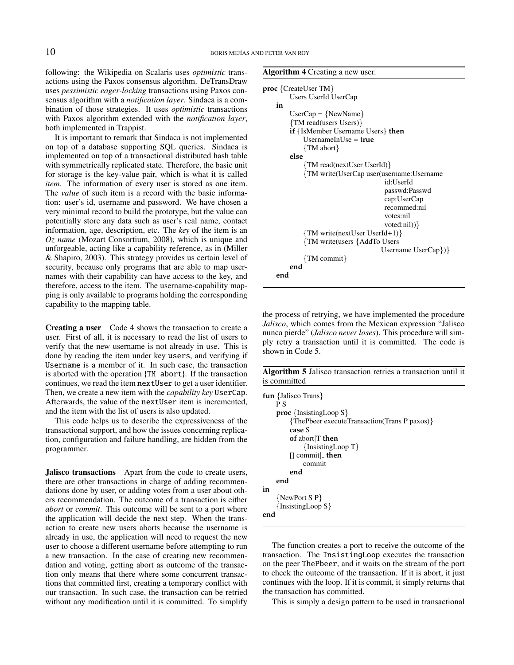following: the Wikipedia on Scalaris uses *optimistic* transactions using the Paxos consensus algorithm. DeTransDraw uses *pessimistic eager-locking* transactions using Paxos consensus algorithm with a *notification layer*. Sindaca is a combination of those strategies. It uses *optimistic* transactions with Paxos algorithm extended with the *notification layer*, both implemented in Trappist.

It is important to remark that Sindaca is not implemented on top of a database supporting SQL queries. Sindaca is implemented on top of a transactional distributed hash table with symmetrically replicated state. Therefore, the basic unit for storage is the key-value pair, which is what it is called *item*. The information of every user is stored as one item. The *value* of such item is a record with the basic information: user's id, username and password. We have chosen a very minimal record to build the prototype, but the value can potentially store any data such as user's real name, contact information, age, description, etc. The *key* of the item is an *Oz name* (Mozart Consortium, 2008), which is unique and unforgeable, acting like a capability reference, as in (Miller & Shapiro, 2003). This strategy provides us certain level of security, because only programs that are able to map usernames with their capability can have access to the key, and therefore, access to the item. The username-capability mapping is only available to programs holding the corresponding capability to the mapping table.

Creating a user Code 4 shows the transaction to create a user. First of all, it is necessary to read the list of users to verify that the new username is not already in use. This is done by reading the item under key users, and verifying if Username is a member of it. In such case, the transaction is aborted with the operation {TM abort}. If the transaction continues, we read the item nextUser to get a user identifier. Then, we create a new item with the *capability key* UserCap. Afterwards, the value of the nextUser item is incremented, and the item with the list of users is also updated.

This code helps us to describe the expressiveness of the transactional support, and how the issues concerning replication, configuration and failure handling, are hidden from the programmer.

Jalisco transactions Apart from the code to create users, there are other transactions in charge of adding recommendations done by user, or adding votes from a user about others recommendation. The outcome of a transaction is either *abort* or *commit*. This outcome will be sent to a port where the application will decide the next step. When the transaction to create new users aborts because the username is already in use, the application will need to request the new user to choose a different username before attempting to run a new transaction. In the case of creating new recommendation and voting, getting abort as outcome of the transaction only means that there where some concurrent transactions that committed first, creating a temporary conflict with our transaction. In such case, the transaction can be retried without any modification until it is committed. To simplify

```
Algorithm 4 Creating a new user.
```

```
proc {CreateUser TM}
       Users UserId UserCap
   in
       UserCap = {NewName}
        {TM read(users Users)}
       if {IsMember Username Users} then
           UsernameInUse = true
            {TM abort}
        else
            {TM read(nextUser UserId)}
            {TM write(UserCap user(username:Username
                                   id:UserId
                                   passwd:Passwd
                                    cap:UserCap
                                   recommed:nil
                                    votes:nil
                                    voted:nil))}
            {TM write(nextUser UserId+1)}
            {TM write(users {AddTo Users
                                   Username UserCap})}
            {TM commit}
       end
   end
```
the process of retrying, we have implemented the procedure *Jalisco*, which comes from the Mexican expression "Jalisco nunca pierde" (*Jalisco never loses*). This procedure will simply retry a transaction until it is committed. The code is shown in Code 5.

Algorithm 5 Jalisco transaction retries a transaction until it is committed

```
fun {Jalisco Trans}
    P S
    proc {InsistingLoop S}
         {ThePbeer executeTransaction(Trans P paxos)}
         case S
         of abort|T then
             {InsistingLoop T}
        [] commit<sup>[</sup> then
             commit
         end
    end
in
    {NewPort S P}
    {InsistingLoop S}
end
```
The function creates a port to receive the outcome of the transaction. The InsistingLoop executes the transaction on the peer ThePbeer, and it waits on the stream of the port to check the outcome of the transaction. If it is abort, it just continues with the loop. If it is commit, it simply returns that the transaction has committed.

This is simply a design pattern to be used in transactional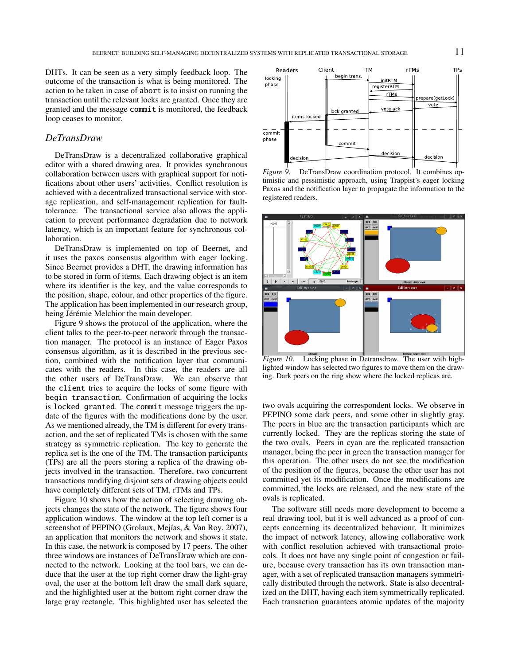DHTs. It can be seen as a very simply feedback loop. The outcome of the transaction is what is being monitored. The action to be taken in case of abort is to insist on running the transaction until the relevant locks are granted. Once they are granted and the message commit is monitored, the feedback loop ceases to monitor.

## *DeTransDraw*

DeTransDraw is a decentralized collaborative graphical editor with a shared drawing area. It provides synchronous collaboration between users with graphical support for notifications about other users' activities. Conflict resolution is achieved with a decentralized transactional service with storage replication, and self-management replication for faulttolerance. The transactional service also allows the application to prevent performance degradation due to network latency, which is an important feature for synchronous collaboration.

DeTransDraw is implemented on top of Beernet, and it uses the paxos consensus algorithm with eager locking. Since Beernet provides a DHT, the drawing information has to be stored in form of items. Each drawing object is an item where its identifier is the key, and the value corresponds to the position, shape, colour, and other properties of the figure. The application has been implemented in our research group, being Jérémie Melchior the main developer.

Figure 9 shows the protocol of the application, where the client talks to the peer-to-peer network through the transaction manager. The protocol is an instance of Eager Paxos consensus algorithm, as it is described in the previous section, combined with the notification layer that communicates with the readers. In this case, the readers are all the other users of DeTransDraw. We can observe that the client tries to acquire the locks of some figure with begin transaction. Confirmation of acquiring the locks is locked granted. The commit message triggers the update of the figures with the modifications done by the user. As we mentioned already, the TM is different for every transaction, and the set of replicated TMs is chosen with the same strategy as symmetric replication. The key to generate the replica set is the one of the TM. The transaction participants (TPs) are all the peers storing a replica of the drawing objects involved in the transaction. Therefore, two concurrent transactions modifying disjoint sets of drawing objects could have completely different sets of TM, rTMs and TPs.

Figure 10 shows how the action of selecting drawing objects changes the state of the network. The figure shows four application windows. The window at the top left corner is a screenshot of PEPINO (Grolaux, Mejías, & Van Roy, 2007), an application that monitors the network and shows it state. In this case, the network is composed by 17 peers. The other three windows are instances of DeTransDraw which are connected to the network. Looking at the tool bars, we can deduce that the user at the top right corner draw the light-gray oval, the user at the bottom left draw the small dark square, and the highlighted user at the bottom right corner draw the large gray rectangle. This highlighted user has selected the



*Figure 9*. DeTransDraw coordination protocol. It combines optimistic and pessimistic approach, using Trappist's eager locking Paxos and the notification layer to propagate the information to the registered readers.



*Figure 10*. Locking phase in Detransdraw. The user with highlighted window has selected two figures to move them on the drawing. Dark peers on the ring show where the locked replicas are.

two ovals acquiring the correspondent locks. We observe in PEPINO some dark peers, and some other in slightly gray. The peers in blue are the transaction participants which are currently locked. They are the replicas storing the state of the two ovals. Peers in cyan are the replicated transaction manager, being the peer in green the transaction manager for this operation. The other users do not see the modification of the position of the figures, because the other user has not committed yet its modification. Once the modifications are committed, the locks are released, and the new state of the ovals is replicated.

The software still needs more development to become a real drawing tool, but it is well advanced as a proof of concepts concerning its decentralized behaviour. It minimizes the impact of network latency, allowing collaborative work with conflict resolution achieved with transactional protocols. It does not have any single point of congestion or failure, because every transaction has its own transaction manager, with a set of replicated transaction managers symmetrically distributed through the network. State is also decentralized on the DHT, having each item symmetrically replicated. Each transaction guarantees atomic updates of the majority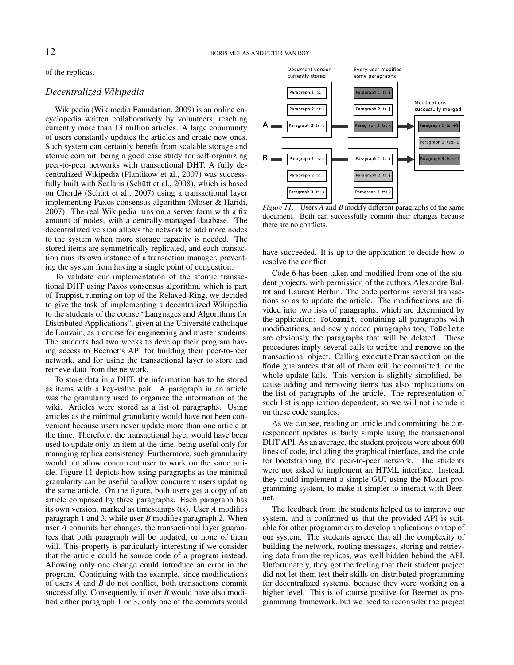#### of the replicas.

#### *Decentralized Wikipedia*

Wikipedia (Wikimedia Foundation, 2009) is an online encyclopedia written collaboratively by volunteers, reaching currently more than 13 million articles. A large community of users constantly updates the articles and create new ones. Such system can certainly benefit from scalable storage and atomic commit, being a good case study for self-organizing peer-to-peer networks with transactional DHT. A fully decentralized Wikipedia (Plantikow et al., 2007) was successfully built with Scalaris (Schütt et al., 2008), which is based on Chord# (Schütt et al., 2007) using a transactional layer implementing Paxos consensus algorithm (Moser & Haridi, 2007). The real Wikipedia runs on a server farm with a fix amount of nodes, with a centrally-managed database. The decentralized version allows the network to add more nodes to the system when more storage capacity is needed. The stored items are symmetrically replicated, and each transaction runs its own instance of a transaction manager, preventing the system from having a single point of congestion.

To validate our implementation of the atomic transactional DHT using Paxos consensus algorithm, which is part of Trappist, running on top of the Relaxed-Ring, we decided to give the task of implementing a decentralized Wikipedia to the students of the course "Languages and Algorithms for Distributed Applications", given at the Université catholique de Louvain, as a course for engineering and master students. The students had two weeks to develop their program having access to Beernet's API for building their peer-to-peer network, and for using the transactional layer to store and retrieve data from the network.

To store data in a DHT, the information has to be stored as items with a key-value pair. A paragraph in an article was the granularity used to organize the information of the wiki. Articles were stored as a list of paragraphs. Using articles as the minimal granularity would have not been convenient because users never update more than one article at the time. Therefore, the transactional layer would have been used to update only an item at the time, being useful only for managing replica consistency. Furthermore, such granularity would not allow concurrent user to work on the same article. Figure 11 depicts how using paragraphs as the minimal granularity can be useful to allow concurrent users updating the same article. On the figure, both users get a copy of an article composed by three paragraphs. Each paragraph has its own version, marked as timestamps (ts). User *A* modifies paragraph 1 and 3, while user *B* modifies paragraph 2. When user *A* commits her changes, the transactional layer guarantees that both paragraph will be updated, or none of them will. This property is particularly interesting if we consider that the article could be source code of a program instead. Allowing only one change could introduce an error in the program. Continuing with the example, since modifications of users *A* and *B* do not conflict, both transactions commit successfully. Consequently, if user *B* would have also modified either paragraph 1 or 3, only one of the commits would



*Figure 11*. Users *A* and *B* modify different paragraphs of the same document. Both can successfully commit their changes because there are no conflicts.

have succeeded. It is up to the application to decide how to resolve the conflict.

Code 6 has been taken and modified from one of the student projects, with permission of the authors Alexandre Bultot and Laurent Herbin. The code performs several transactions so as to update the article. The modifications are divided into two lists of paragraphs, which are determined by the application: ToCommit, containing all paragraphs with modifications, and newly added paragraphs too; ToDelete are obviously the paragraphs that will be deleted. These procedures imply several calls to write and remove on the transactional object. Calling executeTransaction on the Node guarantees that all of them will be committed, or the whole update fails. This version is slightly simplified, because adding and removing items has also implications on the list of paragraphs of the article. The representation of such list is application dependent, so we will not include it on these code samples.

As we can see, reading an article and committing the correspondent updates is fairly simple using the transactional DHT API. As an average, the student projects were about 600 lines of code, including the graphical interface, and the code for bootstrapping the peer-to-peer network. The students were not asked to implement an HTML interface. Instead, they could implement a simple GUI using the Mozart programming system, to make it simpler to interact with Beernet.

The feedback from the students helped us to improve our system, and it confirmed us that the provided API is suitable for other programmers to develop applications on top of our system. The students agreed that all the complexity of building the network, routing messages, storing and retrieving data from the replicas, was well hidden behind the API. Unfortunately, they got the feeling that their student project did not let them test their skills on distributed programming for decentralized systems, because they were working on a higher level. This is of course positive for Beernet as programming framework, but we need to reconsider the project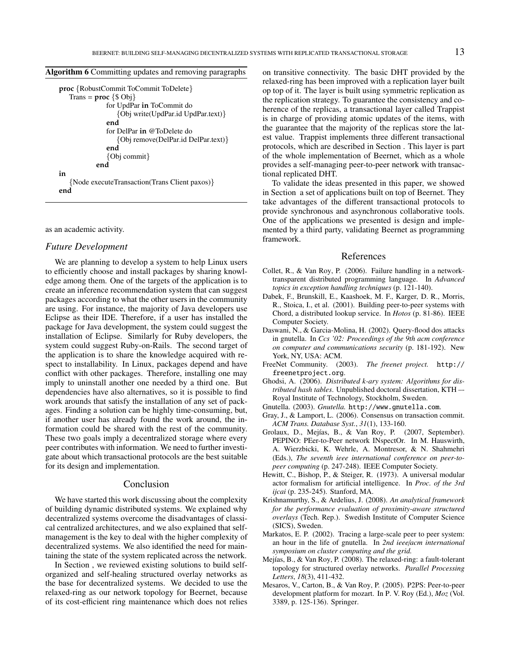#### Algorithm 6 Committing updates and removing paragraphs

| <b>proc</b> {RobustCommit ToCommit ToDelete}  |
|-----------------------------------------------|
| Trans = $proc {$ \$ Obj}                      |
| for UpdPar in ToCommit do                     |
| {Obj write(UpdPar.id UpdPar.text)}            |
| end                                           |
| for DelPar in @ToDelete do                    |
| $\{Obj$ remove(DelPar.id DelPar.text) $\}$    |
| end                                           |
| {Obj commit}                                  |
| end                                           |
| in                                            |
| {Node executeTransaction(Trans Client paxos)} |
| end                                           |

as an academic activity.

#### *Future Development*

We are planning to develop a system to help Linux users to efficiently choose and install packages by sharing knowledge among them. One of the targets of the application is to create an inference recommendation system that can suggest packages according to what the other users in the community are using. For instance, the majority of Java developers use Eclipse as their IDE. Therefore, if a user has installed the package for Java development, the system could suggest the installation of Eclipse. Similarly for Ruby developers, the system could suggest Ruby-on-Rails. The second target of the application is to share the knowledge acquired with respect to installability. In Linux, packages depend and have conflict with other packages. Therefore, installing one may imply to uninstall another one needed by a third one. But dependencies have also alternatives, so it is possible to find work arounds that satisfy the installation of any set of packages. Finding a solution can be highly time-consuming, but, if another user has already found the work around, the information could be shared with the rest of the community. These two goals imply a decentralized storage where every peer contributes with information. We need to further investigate about which transactional protocols are the best suitable for its design and implementation.

## Conclusion

We have started this work discussing about the complexity of building dynamic distributed systems. We explained why decentralized systems overcome the disadvantages of classical centralized architectures, and we also explained that selfmanagement is the key to deal with the higher complexity of decentralized systems. We also identified the need for maintaining the state of the system replicated across the network.

In Section , we reviewed existing solutions to build selforganized and self-healing structured overlay networks as the base for decentralized systems. We decided to use the relaxed-ring as our network topology for Beernet, because of its cost-efficient ring maintenance which does not relies on transitive connectivity. The basic DHT provided by the relaxed-ring has been improved with a replication layer built op top of it. The layer is built using symmetric replication as the replication strategy. To guarantee the consistency and coherence of the replicas, a transactional layer called Trappist is in charge of providing atomic updates of the items, with the guarantee that the majority of the replicas store the latest value. Trappist implements three different transactional protocols, which are described in Section . This layer is part of the whole implementation of Beernet, which as a whole provides a self-managing peer-to-peer network with transactional replicated DHT.

To validate the ideas presented in this paper, we showed in Section a set of applications built on top of Beernet. They take advantages of the different transactional protocols to provide synchronous and asynchronous collaborative tools. One of the applications we presented is design and implemented by a third party, validating Beernet as programming framework.

#### References

- Collet, R., & Van Roy, P. (2006). Failure handling in a networktransparent distributed programming language. In *Advanced topics in exception handling techniques* (p. 121-140).
- Dabek, F., Brunskill, E., Kaashoek, M. F., Karger, D. R., Morris, R., Stoica, I., et al. (2001). Building peer-to-peer systems with Chord, a distributed lookup service. In *Hotos* (p. 81-86). IEEE Computer Society.
- Daswani, N., & Garcia-Molina, H. (2002). Query-flood dos attacks in gnutella. In *Ccs '02: Proceedings of the 9th acm conference on computer and communications security* (p. 181-192). New York, NY, USA: ACM.
- FreeNet Community. (2003). *The freenet project.* http:// freenetproject.org.
- Ghodsi, A. (2006). *Distributed k-ary system: Algorithms for distributed hash tables*. Unpublished doctoral dissertation, KTH –- Royal Institute of Technology, Stockholm, Sweden.
- Gnutella. (2003). *Gnutella.* http://www.gnutella.com.
- Gray, J., & Lamport, L. (2006). Consensus on transaction commit. *ACM Trans. Database Syst.*, *31*(1), 133-160.
- Grolaux, D., Mejías, B., & Van Roy, P. (2007, September). PEPINO: PEer-to-Peer network INspectOr. In M. Hauswirth, A. Wierzbicki, K. Wehrle, A. Montresor, & N. Shahmehri (Eds.), *The seventh ieee international conference on peer-topeer computing* (p. 247-248). IEEE Computer Society.
- Hewitt, C., Bishop, P., & Steiger, R. (1973). A universal modular actor formalism for artificial intelligence. In *Proc. of the 3rd ijcai* (p. 235-245). Stanford, MA.
- Krishnamurthy, S., & Ardelius, J. (2008). *An analytical framework for the performance evaluation of proximity-aware structured overlays* (Tech. Rep.). Swedish Institute of Computer Science (SICS), Sweden.
- Markatos, E. P. (2002). Tracing a large-scale peer to peer system: an hour in the life of gnutella. In *2nd ieee*/*acm international symposium on cluster computing and the grid.*
- Mejías, B., & Van Roy, P. (2008). The relaxed-ring: a fault-tolerant topology for structured overlay networks. *Parallel Processing Letters*, *18*(3), 411-432.
- Mesaros, V., Carton, B., & Van Roy, P. (2005). P2PS: Peer-to-peer development platform for mozart. In P. V. Roy (Ed.), *Moz* (Vol. 3389, p. 125-136). Springer.